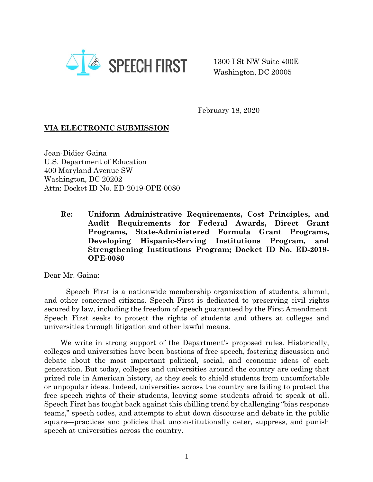

1300 I St NW Suite 400E Washington, DC 20005

February 18, 2020

## **VIA ELECTRONIC SUBMISSION**

Jean-Didier Gaina U.S. Department of Education 400 Maryland Avenue SW Washington, DC 20202 Attn: Docket ID No. ED-2019-OPE-0080

> **Re: Uniform Administrative Requirements, Cost Principles, and Audit Requirements for Federal Awards, Direct Grant Programs, State-Administered Formula Grant Programs, Developing Hispanic-Serving Institutions Program, and Strengthening Institutions Program; Docket ID No. ED-2019- OPE-0080**

Dear Mr. Gaina:

Speech First is a nationwide membership organization of students, alumni, and other concerned citizens. Speech First is dedicated to preserving civil rights secured by law, including the freedom of speech guaranteed by the First Amendment. Speech First seeks to protect the rights of students and others at colleges and universities through litigation and other lawful means.

We write in strong support of the Department's proposed rules. Historically, colleges and universities have been bastions of free speech, fostering discussion and debate about the most important political, social, and economic ideas of each generation. But today, colleges and universities around the country are ceding that prized role in American history, as they seek to shield students from uncomfortable or unpopular ideas. Indeed, universities across the country are failing to protect the free speech rights of their students, leaving some students afraid to speak at all. Speech First has fought back against this chilling trend by challenging "bias response teams," speech codes, and attempts to shut down discourse and debate in the public square—practices and policies that unconstitutionally deter, suppress, and punish speech at universities across the country.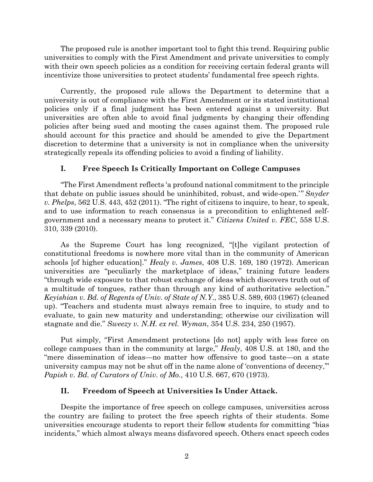The proposed rule is another important tool to fight this trend. Requiring public universities to comply with the First Amendment and private universities to comply with their own speech policies as a condition for receiving certain federal grants will incentivize those universities to protect students' fundamental free speech rights.

Currently, the proposed rule allows the Department to determine that a university is out of compliance with the First Amendment or its stated institutional policies only if a final judgment has been entered against a university. But universities are often able to avoid final judgments by changing their offending policies after being sued and mooting the cases against them. The proposed rule should account for this practice and should be amended to give the Department discretion to determine that a university is not in compliance when the university strategically repeals its offending policies to avoid a finding of liability.

## **I. Free Speech Is Critically Important on College Campuses**

"The First Amendment reflects 'a profound national commitment to the principle that debate on public issues should be uninhibited, robust, and wide-open.'*" Snyder v. Phelps*, 562 U.S. 443, 452 (2011). "The right of citizens to inquire, to hear, to speak, and to use information to reach consensus is a precondition to enlightened selfgovernment and a necessary means to protect it." *Citizens United v. FEC*, 558 U.S. 310, 339 (2010).

As the Supreme Court has long recognized, "[t]he vigilant protection of constitutional freedoms is nowhere more vital than in the community of American schools [of higher education]." *Healy v. James*, 408 U.S. 169, 180 (1972). American universities are "peculiarly the marketplace of ideas," training future leaders "through wide exposure to that robust exchange of ideas which discovers truth out of a multitude of tongues, rather than through any kind of authoritative selection." *Keyishian v. Bd. of Regents of Univ. of State of N.Y*., 385 U.S. 589, 603 (1967) (cleaned up). "Teachers and students must always remain free to inquire, to study and to evaluate, to gain new maturity and understanding; otherwise our civilization will stagnate and die." *Sweezy v. N.H. ex rel. Wyman*, 354 U.S. 234, 250 (1957).

Put simply, "First Amendment protections [do not] apply with less force on college campuses than in the community at large," *Healy*, 408 U.S. at 180, and the "mere dissemination of ideas—no matter how offensive to good taste—on a state university campus may not be shut off in the name alone of 'conventions of decency,'" *Papish v. Bd. of Curators of Univ. of Mo.*, 410 U.S. 667, 670 (1973).

### **II. Freedom of Speech at Universities Is Under Attack.**

Despite the importance of free speech on college campuses, universities across the country are failing to protect the free speech rights of their students. Some universities encourage students to report their fellow students for committing "bias incidents," which almost always means disfavored speech. Others enact speech codes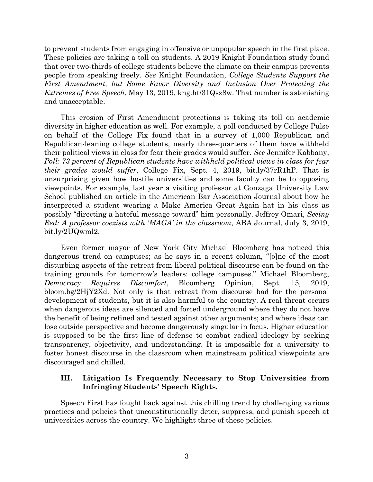to prevent students from engaging in offensive or unpopular speech in the first place. These policies are taking a toll on students. A 2019 Knight Foundation study found that over two-thirds of college students believe the climate on their campus prevents people from speaking freely. *See* Knight Foundation, *College Students Support the First Amendment, but Some Favor Diversity and Inclusion Over Protecting the Extremes of Free Speech*, May 13, 2019, kng.ht/31Qsz8w. That number is astonishing and unacceptable.

This erosion of First Amendment protections is taking its toll on academic diversity in higher education as well. For example, a poll conducted by College Pulse on behalf of the College Fix found that in a survey of 1,000 Republican and Republican-leaning college students, nearly three-quarters of them have withheld their political views in class for fear their grades would suffer. *See* Jennifer Kabbany, *Poll: 73 percent of Republican students have withheld political views in class for fear their grades would suffer*, College Fix, Sept. 4, 2019, bit.ly/37rR1hP. That is unsurprising given how hostile universities and some faculty can be to opposing viewpoints. For example, last year a visiting professor at Gonzaga University Law School published an article in the American Bar Association Journal about how he interpreted a student wearing a Make America Great Again hat in his class as possibly "directing a hateful message toward" him personally. Jeffrey Omari, *Seeing Red: A professor coexists with 'MAGA' in the classroom*, ABA Journal, July 3, 2019, bit.ly/2UQwml2.

Even former mayor of New York City Michael Bloomberg has noticed this dangerous trend on campuses; as he says in a recent column, "[o]ne of the most disturbing aspects of the retreat from liberal political discourse can be found on the training grounds for tomorrow's leaders: college campuses." Michael Bloomberg, *Democracy Requires Discomfort*, Bloomberg Opinion, Sept. 15, 2019, bloom.bg/2HjY2Xd. Not only is that retreat from discourse bad for the personal development of students, but it is also harmful to the country. A real threat occurs when dangerous ideas are silenced and forced underground where they do not have the benefit of being refined and tested against other arguments; and where ideas can lose outside perspective and become dangerously singular in focus. Higher education is supposed to be the first line of defense to combat radical ideology by seeking transparency, objectivity, and understanding. It is impossible for a university to foster honest discourse in the classroom when mainstream political viewpoints are discouraged and chilled.

## **III. Litigation Is Frequently Necessary to Stop Universities from Infringing Students' Speech Rights.**

Speech First has fought back against this chilling trend by challenging various practices and policies that unconstitutionally deter, suppress, and punish speech at universities across the country. We highlight three of these policies.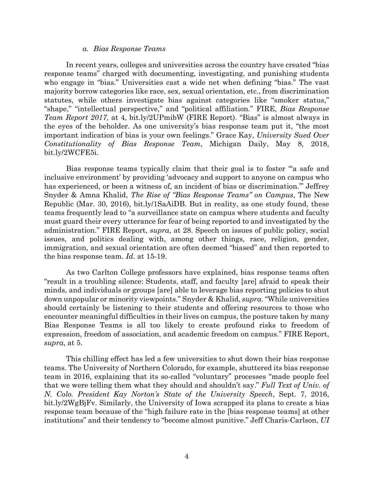#### *a. Bias Response Teams*

In recent years, colleges and universities across the country have created "bias response teams" charged with documenting, investigating, and punishing students who engage in "bias." Universities cast a wide net when defining "bias." The vast majority borrow categories like race, sex, sexual orientation, etc., from discrimination statutes, while others investigate bias against categories like "smoker status," "shape," "intellectual perspective," and "political affiliation." FIRE, *Bias Response Team Report 2017*, at 4, bit.ly/2UPmibW (FIRE Report). "Bias" is almost always in the eyes of the beholder. As one university's bias response team put it, "the most important indication of bias is your own feelings." Grace Kay, *University Sued Over Constitutionality of Bias Response Team*, Michigan Daily, May 8, 2018, bit.ly/2WCFE5i.

Bias response teams typically claim that their goal is to foster "'a safe and inclusive environment' by providing 'advocacy and support to anyone on campus who has experienced, or been a witness of, an incident of bias or discrimination.'" Jeffrey Snyder & Amna Khalid, *The Rise of "Bias Response Teams" on Campus*, The New Republic (Mar. 30, 2016), bit.ly/1SaAiDB. But in reality, as one study found, these teams frequently lead to "a surveillance state on campus where students and faculty must guard their every utterance for fear of being reported to and investigated by the administration." FIRE Report, *supra*, at 28. Speech on issues of public policy, social issues, and politics dealing with, among other things, race, religion, gender, immigration, and sexual orientation are often deemed "biased" and then reported to the bias response team. *Id*. at 15-19.

As two Carlton College professors have explained, bias response teams often "result in a troubling silence: Students, staff, and faculty [are] afraid to speak their minds, and individuals or groups [are] able to leverage bias reporting policies to shut down unpopular or minority viewpoints." Snyder & Khalid, *supra*. "While universities should certainly be listening to their students and offering resources to those who encounter meaningful difficulties in their lives on campus, the posture taken by many Bias Response Teams is all too likely to create profound risks to freedom of expression, freedom of association, and academic freedom on campus." FIRE Report, *supra*, at 5.

This chilling effect has led a few universities to shut down their bias response teams. The University of Northern Colorado, for example, shuttered its bias response team in 2016, explaining that its so-called "voluntary" processes "made people feel that we were telling them what they should and shouldn't say." *Full Text of Univ. of N. Colo. President Kay Norton's State of the University Speech*, Sept. 7, 2016, bit.ly/2WgBjFv. Similarly, the University of Iowa scrapped its plans to create a bias response team because of the "high failure rate in the [bias response teams] at other institutions" and their tendency to "become almost punitive." Jeff Charis-Carlson, *UI*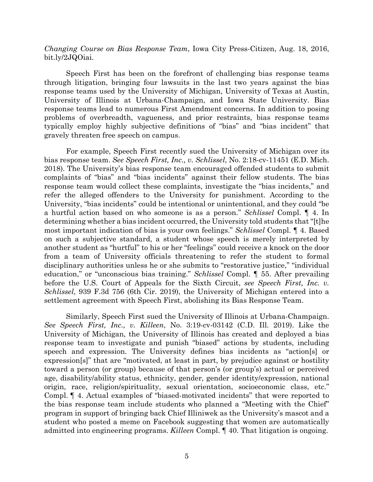*Changing Course on Bias Response Team*, Iowa City Press-Citizen, Aug. 18, 2016, bit.ly/2JQOiai.

Speech First has been on the forefront of challenging bias response teams through litigation, bringing four lawsuits in the last two years against the bias response teams used by the University of Michigan, University of Texas at Austin, University of Illinois at Urbana-Champaign, and Iowa State University. Bias response teams lead to numerous First Amendment concerns. In addition to posing problems of overbreadth, vagueness, and prior restraints, bias response teams typically employ highly subjective definitions of "bias" and "bias incident" that gravely threaten free speech on campus.

For example, Speech First recently sued the University of Michigan over its bias response team. *See Speech First, Inc., v. Schlissel*, No. 2:18-cv-11451 (E.D. Mich. 2018). The University's bias response team encouraged offended students to submit complaints of "bias" and "bias incidents" against their fellow students. The bias response team would collect these complaints, investigate the "bias incidents," and refer the alleged offenders to the University for punishment. According to the University, "bias incidents" could be intentional or unintentional, and they could "be a hurtful action based on who someone is as a person." *Schlissel* Compl. ¶ 4. In determining whether a bias incident occurred, the University told students that "[t]he most important indication of bias is your own feelings." *Schlissel* Compl. ¶ 4. Based on such a subjective standard, a student whose speech is merely interpreted by another student as "hurtful" to his or her "feelings" could receive a knock on the door from a team of University officials threatening to refer the student to formal disciplinary authorities unless he or she submits to "restorative justice," "individual education," or "unconscious bias training." *Schlissel* Compl. ¶ 55. After prevailing before the U.S. Court of Appeals for the Sixth Circuit, *see Speech First, Inc. v. Schlissel*, 939 F.3d 756 (6th Cir. 2019), the University of Michigan entered into a settlement agreement with Speech First, abolishing its Bias Response Team.

Similarly, Speech First sued the University of Illinois at Urbana-Champaign. *See Speech First, Inc., v. Killeen*, No. 3:19-cv-03142 (C.D. Ill. 2019). Like the University of Michigan, the University of Illinois has created and deployed a bias response team to investigate and punish "biased" actions by students, including speech and expression. The University defines bias incidents as "action[s] or expression[s]" that are "motivated, at least in part, by prejudice against or hostility toward a person (or group) because of that person's (or group's) actual or perceived age, disability/ability status, ethnicity, gender, gender identity/expression, national origin, race, religion/spirituality, sexual orientation, socioeconomic class, etc." Compl. ¶ 4. Actual examples of "biased-motivated incidents" that were reported to the bias response team include students who planned a "Meeting with the Chief" program in support of bringing back Chief Illiniwek as the University's mascot and a student who posted a meme on Facebook suggesting that women are automatically admitted into engineering programs. *Killeen* Compl. ¶ 40. That litigation is ongoing.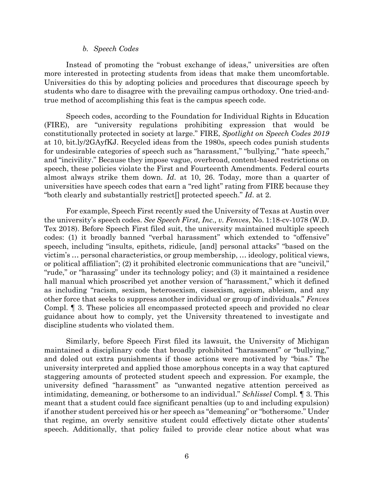#### *b. Speech Codes*

Instead of promoting the "robust exchange of ideas," universities are often more interested in protecting students from ideas that make them uncomfortable. Universities do this by adopting policies and procedures that discourage speech by students who dare to disagree with the prevailing campus orthodoxy. One tried-andtrue method of accomplishing this feat is the campus speech code.

Speech codes, according to the Foundation for Individual Rights in Education (FIRE), are "university regulations prohibiting expression that would be constitutionally protected in society at large." FIRE, *Spotlight on Speech Codes 2019* at 10, bit.ly/2GAyfKJ. Recycled ideas from the 1980s, speech codes punish students for undesirable categories of speech such as "harassment," "bullying," "hate speech," and "incivility." Because they impose vague, overbroad, content-based restrictions on speech, these policies violate the First and Fourteenth Amendments. Federal courts almost always strike them down. *Id*. at 10, 26. Today, more than a quarter of universities have speech codes that earn a "red light" rating from FIRE because they "both clearly and substantially restrict[] protected speech." *Id*. at 2.

For example, Speech First recently sued the University of Texas at Austin over the university's speech codes. *See Speech First, Inc., v. Fenves*, No. 1:18-cv-1078 (W.D. Tex 2018). Before Speech First filed suit, the university maintained multiple speech codes: (1) it broadly banned "verbal harassment" which extended to "offensive" speech, including "insults, epithets, ridicule, [and] personal attacks" "based on the victim's … personal characteristics, or group membership, … ideology, political views, or political affiliation"; (2) it prohibited electronic communications that are "uncivil," "rude," or "harassing" under its technology policy; and (3) it maintained a residence hall manual which proscribed yet another version of "harassment," which it defined as including "racism, sexism, heterosexism, cissexism, ageism, ableism, and any other force that seeks to suppress another individual or group of individuals." *Fenves* Compl. ¶ 3. These policies all encompassed protected speech and provided no clear guidance about how to comply, yet the University threatened to investigate and discipline students who violated them.

Similarly, before Speech First filed its lawsuit, the University of Michigan maintained a disciplinary code that broadly prohibited "harassment" or "bullying," and doled out extra punishments if those actions were motivated by "bias." The university interpreted and applied those amorphous concepts in a way that captured staggering amounts of protected student speech and expression. For example, the university defined "harassment" as "unwanted negative attention perceived as intimidating, demeaning, or bothersome to an individual." *Schlissel* Compl. ¶ 3. This meant that a student could face significant penalties (up to and including expulsion) if another student perceived his or her speech as "demeaning" or "bothersome." Under that regime, an overly sensitive student could effectively dictate other students' speech. Additionally, that policy failed to provide clear notice about what was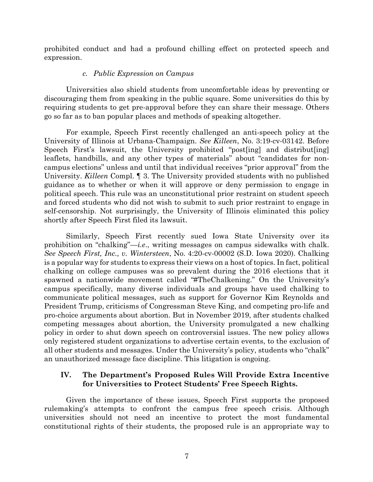prohibited conduct and had a profound chilling effect on protected speech and expression.

## *c. Public Expression on Campus*

Universities also shield students from uncomfortable ideas by preventing or discouraging them from speaking in the public square. Some universities do this by requiring students to get pre-approval before they can share their message. Others go so far as to ban popular places and methods of speaking altogether.

For example, Speech First recently challenged an anti-speech policy at the University of Illinois at Urbana-Champaign. *See Killeen*, No. 3:19-cv-03142. Before Speech First's lawsuit, the University prohibited "post[ing] and distribut[ing] leaflets, handbills, and any other types of materials" about "candidates for noncampus elections" unless and until that individual receives "prior approval" from the University. *Killeen* Compl. ¶ 3. The University provided students with no published guidance as to whether or when it will approve or deny permission to engage in political speech. This rule was an unconstitutional prior restraint on student speech and forced students who did not wish to submit to such prior restraint to engage in self-censorship. Not surprisingly, the University of Illinois eliminated this policy shortly after Speech First filed its lawsuit.

Similarly, Speech First recently sued Iowa State University over its prohibition on "chalking"—*i.e*., writing messages on campus sidewalks with chalk. *See Speech First, Inc., v. Wintersteen*, No. 4:20-cv-00002 (S.D. Iowa 2020). Chalking is a popular way for students to express their views on a host of topics. In fact, political chalking on college campuses was so prevalent during the 2016 elections that it spawned a nationwide movement called "#TheChalkening." On the University's campus specifically, many diverse individuals and groups have used chalking to communicate political messages, such as support for Governor Kim Reynolds and President Trump, criticisms of Congressman Steve King, and competing pro-life and pro-choice arguments about abortion. But in November 2019, after students chalked competing messages about abortion, the University promulgated a new chalking policy in order to shut down speech on controversial issues. The new policy allows only registered student organizations to advertise certain events, to the exclusion of all other students and messages. Under the University's policy, students who "chalk" an unauthorized message face discipline. This litigation is ongoing.

## **IV. The Department's Proposed Rules Will Provide Extra Incentive for Universities to Protect Students' Free Speech Rights.**

Given the importance of these issues, Speech First supports the proposed rulemaking's attempts to confront the campus free speech crisis. Although universities should not need an incentive to protect the most fundamental constitutional rights of their students, the proposed rule is an appropriate way to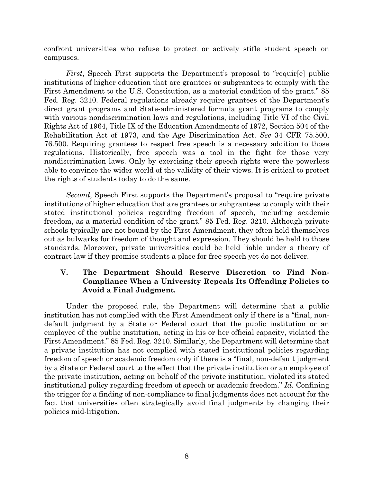confront universities who refuse to protect or actively stifle student speech on campuses.

*First*, Speech First supports the Department's proposal to "requir[e] public institutions of higher education that are grantees or subgrantees to comply with the First Amendment to the U.S. Constitution, as a material condition of the grant." 85 Fed. Reg. 3210. Federal regulations already require grantees of the Department's direct grant programs and State-administered formula grant programs to comply with various nondiscrimination laws and regulations, including Title VI of the Civil Rights Act of 1964, Title IX of the Education Amendments of 1972, Section 504 of the Rehabilitation Act of 1973, and the Age Discrimination Act. *See* 34 CFR 75.500, 76.500. Requiring grantees to respect free speech is a necessary addition to those regulations. Historically, free speech was a tool in the fight for those very nondiscrimination laws. Only by exercising their speech rights were the powerless able to convince the wider world of the validity of their views. It is critical to protect the rights of students today to do the same.

*Second*, Speech First supports the Department's proposal to "require private institutions of higher education that are grantees or subgrantees to comply with their stated institutional policies regarding freedom of speech, including academic freedom, as a material condition of the grant." 85 Fed. Reg. 3210. Although private schools typically are not bound by the First Amendment, they often hold themselves out as bulwarks for freedom of thought and expression. They should be held to those standards. Moreover, private universities could be held liable under a theory of contract law if they promise students a place for free speech yet do not deliver.

# **V. The Department Should Reserve Discretion to Find Non-Compliance When a University Repeals Its Offending Policies to Avoid a Final Judgment.**

Under the proposed rule, the Department will determine that a public institution has not complied with the First Amendment only if there is a "final, nondefault judgment by a State or Federal court that the public institution or an employee of the public institution, acting in his or her official capacity, violated the First Amendment." 85 Fed. Reg. 3210. Similarly, the Department will determine that a private institution has not complied with stated institutional policies regarding freedom of speech or academic freedom only if there is a "final, non-default judgment by a State or Federal court to the effect that the private institution or an employee of the private institution, acting on behalf of the private institution, violated its stated institutional policy regarding freedom of speech or academic freedom." *Id.* Confining the trigger for a finding of non-compliance to final judgments does not account for the fact that universities often strategically avoid final judgments by changing their policies mid-litigation.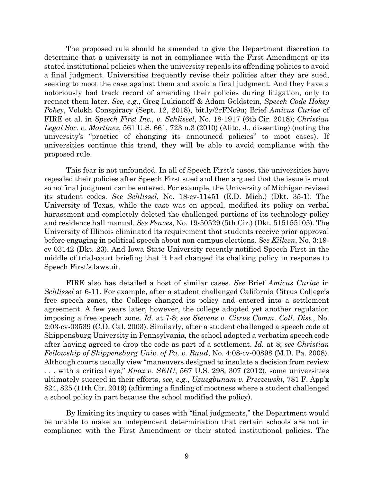The proposed rule should be amended to give the Department discretion to determine that a university is not in compliance with the First Amendment or its stated institutional policies when the university repeals its offending policies to avoid a final judgment. Universities frequently revise their policies after they are sued, seeking to moot the case against them and avoid a final judgment. And they have a notoriously bad track record of amending their policies during litigation, only to reenact them later. *See, e.g.*, Greg Lukianoff & Adam Goldstein, *Speech Code Hokey Pokey*, Volokh Conspiracy (Sept. 12, 2018), bit.ly/2rFNc9u; Brief *Amicus Curiae* of FIRE et al. in *Speech First Inc., v. Schlissel*, No. 18-1917 (6th Cir. 2018); *Christian Legal Soc. v. Martinez*, 561 U.S. 661, 723 n.3 (2010) (Alito, J., dissenting) (noting the university's "practice of changing its announced policies" to moot cases). If universities continue this trend, they will be able to avoid compliance with the proposed rule.

This fear is not unfounded. In all of Speech First's cases, the universities have repealed their policies after Speech First sued and then argued that the issue is moot so no final judgment can be entered. For example, the University of Michigan revised its student codes. *See Schlissel*, No. 18-cv-11451 (E.D. Mich.) (Dkt. 35-1). The University of Texas, while the case was on appeal, modified its policy on verbal harassment and completely deleted the challenged portions of its technology policy and residence hall manual. *See Fenves*, No. 19-50529 (5th Cir.) (Dkt. 515155105). The University of Illinois eliminated its requirement that students receive prior approval before engaging in political speech about non-campus elections. *See Killeen*, No. 3:19 cv-03142 (Dkt. 23). And Iowa State University recently notified Speech First in the middle of trial-court briefing that it had changed its chalking policy in response to Speech First's lawsuit.

FIRE also has detailed a host of similar cases. *See* Brief *Amicus Curiae* in *Schlissel* at 6-11. For example, after a student challenged California Citrus College's free speech zones, the College changed its policy and entered into a settlement agreement. A few years later, however, the college adopted yet another regulation imposing a free speech zone. *Id.* at 7-8; *see Stevens v. Citrus Comm. Coll. Dist.*, No. 2:03-cv-03539 (C.D. Cal. 2003). Similarly, after a student challenged a speech code at Shippensburg University in Pennsylvania, the school adopted a verbatim speech code after having agreed to drop the code as part of a settlement. *Id.* at 8; *see Christian Fellowship of Shippensburg Univ. of Pa. v. Ruud*, No. 4:08-cv-00898 (M.D. Pa. 2008). Although courts usually view "maneuvers designed to insulate a decision from review . . . with a critical eye," *Knox v. SEIU*, 567 U.S. 298, 307 (2012), some universities ultimately succeed in their efforts, *see, e.g.*, *Uzuegbunam v. Preczewski*, 781 F. App'x 824, 825 (11th Cir. 2019) (affirming a finding of mootness where a student challenged a school policy in part because the school modified the policy).

By limiting its inquiry to cases with "final judgments," the Department would be unable to make an independent determination that certain schools are not in compliance with the First Amendment or their stated institutional policies. The